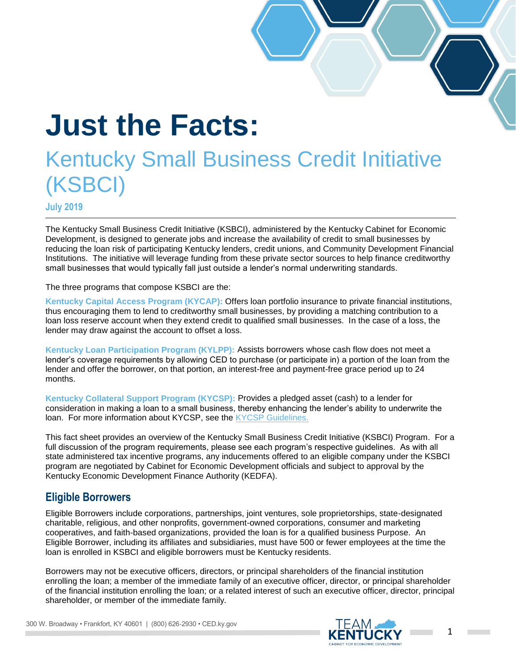# **Just the Facts:**

## Kentucky Small Business Credit Initiative (KSBCI)

**July 2019**

The Kentucky Small Business Credit Initiative (KSBCI), administered by the Kentucky Cabinet for Economic Development, is designed to generate jobs and increase the availability of credit to small businesses by reducing the loan risk of participating Kentucky lenders, credit unions, and Community Development Financial Institutions. The initiative will leverage funding from these private sector sources to help finance creditworthy small businesses that would typically fall just outside a lender's normal underwriting standards.

The three programs that compose KSBCI are the:

**Kentucky Capital Access Program (KYCAP):** Offers loan portfolio insurance to private financial institutions, thus encouraging them to lend to creditworthy small businesses, by providing a matching contribution to a loan loss reserve account when they extend credit to qualified small businesses. In the case of a loss, the lender may draw against the account to offset a loss.

**Kentucky Loan Participation Program (KYLPP):** Assists borrowers whose cash flow does not meet a lender's coverage requirements by allowing CED to purchase (or participate in) a portion of the loan from the lender and offer the borrower, on that portion, an interest-free and payment-free grace period up to 24 months.

**Kentucky Collateral Support Program (KYCSP):** Provides a pledged asset (cash) to a lender for consideration in making a loan to a small business, thereby enhancing the lender's ability to underwrite the loan. For more information about KYCSP, see the [KYCSP Guidelines.](http://ced.ky.gov/kyedc/pdfs/KYCSPGuideLines.pdf)

This fact sheet provides an overview of the Kentucky Small Business Credit Initiative (KSBCI) Program. For a full discussion of the program requirements, please see each program's respective guidelines. As with all state administered tax incentive programs, any inducements offered to an eligible company under the KSBCI program are negotiated by Cabinet for Economic Development officials and subject to approval by the Kentucky Economic Development Finance Authority (KEDFA).

#### **Eligible Borrowers**

Eligible Borrowers include corporations, partnerships, joint ventures, sole proprietorships, state-designated charitable, religious, and other nonprofits, government-owned corporations, consumer and marketing cooperatives, and faith-based organizations, provided the loan is for a qualified business Purpose. An Eligible Borrower, including its affiliates and subsidiaries, must have 500 or fewer employees at the time the loan is enrolled in KSBCI and eligible borrowers must be Kentucky residents.

Borrowers may not be executive officers, directors, or principal shareholders of the financial institution enrolling the loan; a member of the immediate family of an executive officer, director, or principal shareholder of the financial institution enrolling the loan; or a related interest of such an executive officer, director, principal shareholder, or member of the immediate family.



300 W. Broadway • Frankfort, KY 40601 | (800) 626-2930 • CED.ky.gov

**Contract**